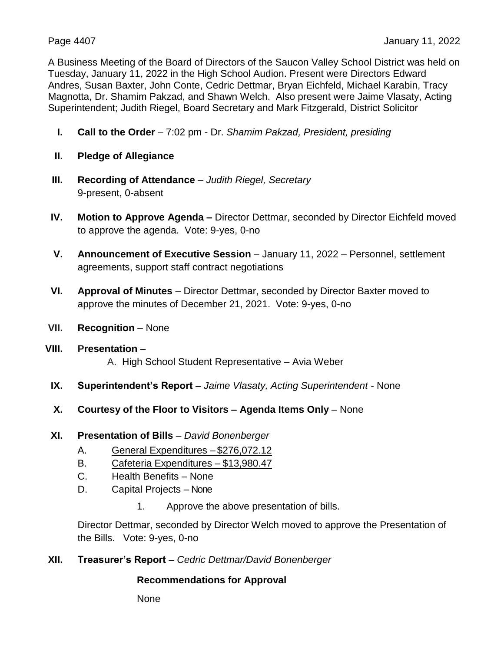A Business Meeting of the Board of Directors of the Saucon Valley School District was held on Tuesday, January 11, 2022 in the High School Audion. Present were Directors Edward Andres, Susan Baxter, John Conte, Cedric Dettmar, Bryan Eichfeld, Michael Karabin, Tracy Magnotta, Dr. Shamim Pakzad, and Shawn Welch. Also present were Jaime Vlasaty, Acting Superintendent; Judith Riegel, Board Secretary and Mark Fitzgerald, District Solicitor

- **I. Call to the Order** 7:02 pm Dr. *Shamim Pakzad, President, presiding*
- **II. Pledge of Allegiance**
- **III. Recording of Attendance** *Judith Riegel, Secretary*  9-present, 0-absent
- **IV. Motion to Approve Agenda –** Director Dettmar, seconded by Director Eichfeld moved to approve the agenda. Vote: 9-yes, 0-no
- **V. Announcement of Executive Session** January 11, 2022 Personnel, settlement agreements, support staff contract negotiations
- **VI. Approval of Minutes** Director Dettmar, seconded by Director Baxter moved to approve the minutes of December 21, 2021. Vote: 9-yes, 0-no
- **VII. Recognition** None
- **VIII. Presentation** A. High School Student Representative – Avia Weber
- **IX. Superintendent's Report** *Jaime Vlasaty, Acting Superintendent* None
- **X. Courtesy of the Floor to Visitors – Agenda Items Only** None
- **XI. Presentation of Bills** *David Bonenberger*
	- A. General Expenditures \$276,072.12
	- B. Cafeteria Expenditures \$13,980.47
	- C. Health Benefits None
	- D. Capital Projects None
		- 1. Approve the above presentation of bills.

Director Dettmar, seconded by Director Welch moved to approve the Presentation of the Bills. Vote: 9-yes, 0-no

**XII. Treasurer's Report** – *Cedric Dettmar/David Bonenberger*

# **Recommendations for Approval**

None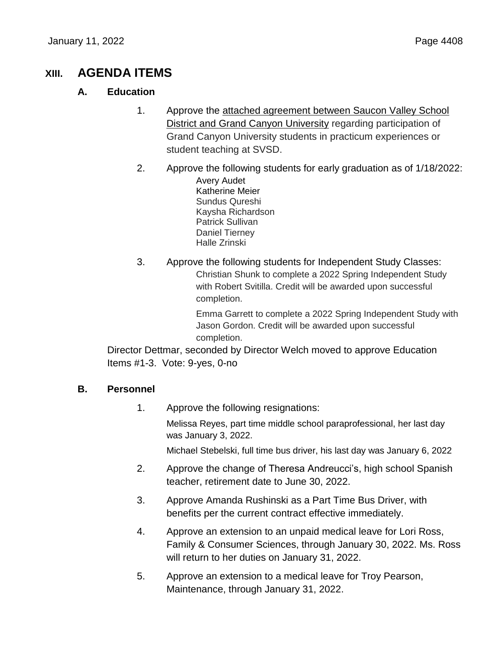# **XIII. AGENDA ITEMS**

# **A. Education**

- 1. Approve the attached agreement between Saucon Valley School District and Grand Canyon University regarding participation of Grand Canyon University students in practicum experiences or student teaching at SVSD.
- 2. Approve the following students for early graduation as of 1/18/2022: Avery Audet Katherine Meier Sundus Qureshi Kaysha Richardson Patrick Sullivan Daniel Tierney Halle Zrinski
- 3. Approve the following students for Independent Study Classes: Christian Shunk to complete a 2022 Spring Independent Study with Robert Svitilla. Credit will be awarded upon successful completion.

Emma Garrett to complete a 2022 Spring Independent Study with Jason Gordon. Credit will be awarded upon successful completion.

Director Dettmar, seconded by Director Welch moved to approve Education Items #1-3. Vote: 9-yes, 0-no

# **B. Personnel**

1. Approve the following resignations:

Melissa Reyes, part time middle school paraprofessional, her last day was January 3, 2022.

Michael Stebelski, full time bus driver, his last day was January 6, 2022

- 2. Approve the change of Theresa Andreucci's, high school Spanish teacher, retirement date to June 30, 2022.
- 3. Approve Amanda Rushinski as a Part Time Bus Driver, with benefits per the current contract effective immediately.
- 4. Approve an extension to an unpaid medical leave for Lori Ross, Family & Consumer Sciences, through January 30, 2022. Ms. Ross will return to her duties on January 31, 2022.
- 5. Approve an extension to a medical leave for Troy Pearson, Maintenance, through January 31, 2022.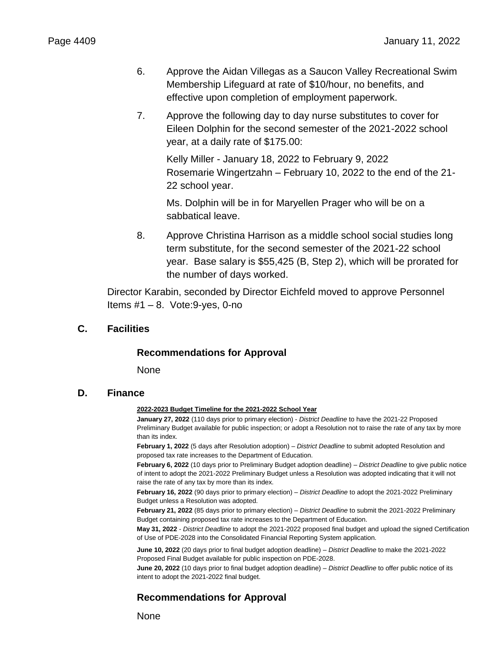- 6. Approve the Aidan Villegas as a Saucon Valley Recreational Swim Membership Lifeguard at rate of \$10/hour, no benefits, and effective upon completion of employment paperwork.
- 7. Approve the following day to day nurse substitutes to cover for Eileen Dolphin for the second semester of the 2021-2022 school year, at a daily rate of \$175.00:

Kelly Miller - January 18, 2022 to February 9, 2022 Rosemarie Wingertzahn – February 10, 2022 to the end of the 21- 22 school year.

Ms. Dolphin will be in for Maryellen Prager who will be on a sabbatical leave.

8. Approve Christina Harrison as a middle school social studies long term substitute, for the second semester of the 2021-22 school year. Base salary is \$55,425 (B, Step 2), which will be prorated for the number of days worked.

Director Karabin, seconded by Director Eichfeld moved to approve Personnel Items  $#1 - 8$ . Vote: 9-yes, 0-no

### **C. Facilities**

### **Recommendations for Approval**

None

### **D. Finance**

#### **2022-2023 Budget Timeline for the 2021-2022 School Year**

**January 27, 2022** (110 days prior to primary election) - *District Deadline* to have the 2021-22 Proposed Preliminary Budget available for public inspection; or adopt a Resolution not to raise the rate of any tax by more than its index.

**February 1, 2022** (5 days after Resolution adoption) – *District Deadline* to submit adopted Resolution and proposed tax rate increases to the Department of Education.

**February 6, 2022** (10 days prior to Preliminary Budget adoption deadline) – *District Deadline* to give public notice of intent to adopt the 2021-2022 Preliminary Budget unless a Resolution was adopted indicating that it will not raise the rate of any tax by more than its index.

**February 16, 2022** (90 days prior to primary election) – *District Deadline* to adopt the 2021-2022 Preliminary Budget unless a Resolution was adopted.

**February 21, 2022** (85 days prior to primary election) – *District Deadline* to submit the 2021-2022 Preliminary Budget containing proposed tax rate increases to the Department of Education.

**May 31, 2022** - *District Deadline* to adopt the 2021-2022 proposed final budget and upload the signed Certification of Use of PDE-2028 into the Consolidated Financial Reporting System application.

**June 10, 2022** (20 days prior to final budget adoption deadline) – *District Deadline* to make the 2021-2022 Proposed Final Budget available for public inspection on PDE-2028.

**June 20, 2022** (10 days prior to final budget adoption deadline) – *District Deadline* to offer public notice of its intent to adopt the 2021-2022 final budget.

### **Recommendations for Approval**

None